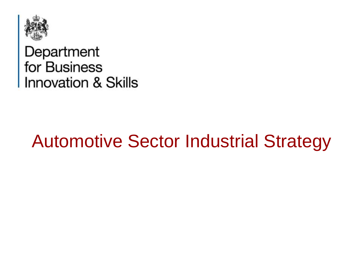

Department<br>for Business<br>Innovation & Skills

### Automotive Sector Industrial Strategy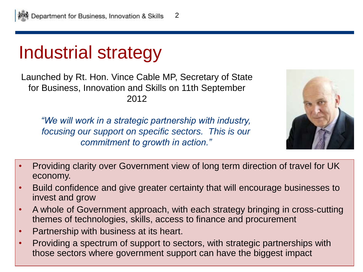### Industrial strategy

Launched by Rt. Hon. Vince Cable MP, Secretary of State for Business, Innovation and Skills on 11th September 2012

*"We will work in a strategic partnership with industry, focusing our support on specific sectors. This is our commitment to growth in action."*



- Providing clarity over Government view of long term direction of travel for UK economy.
- Build confidence and give greater certainty that will encourage businesses to invest and grow
- A whole of Government approach, with each strategy bringing in cross-cutting themes of technologies, skills, access to finance and procurement
- Partnership with business at its heart.
- Providing a spectrum of support to sectors, with strategic partnerships with those sectors where government support can have the biggest impact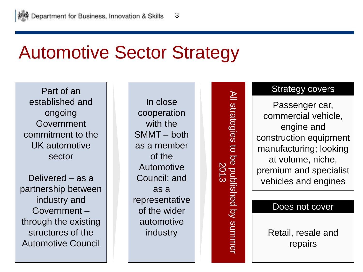## Automotive Sector Strategy

Part of an established and ongoing Government commitment to the UK automotive sector

Delivered – as a partnership between industry and Government – through the existing structures of the Automotive Council

In close cooperation with the SMMT – both as a member of the Automotive Council; and as a representative of the wider automotive industry

All strategies to be published by summer All strategies  $\overline{a}$ be published by summer<br>2013

#### Strategy covers

Passenger car, commercial vehicle, engine and construction equipment manufacturing; looking at volume, niche, premium and specialist vehicles and engines

#### Does not cover

Retail, resale and repairs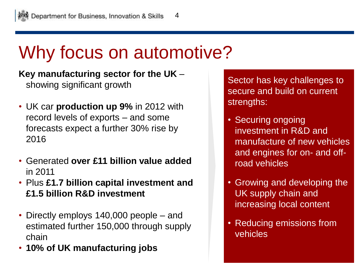## Why focus on automotive?

**Key manufacturing sector for the UK** – showing significant growth

- UK car **production up 9%** in 2012 with record levels of exports – and some forecasts expect a further 30% rise by 2016
- Generated **over £11 billion value added** in 2011
- Plus **£1.7 billion capital investment and £1.5 billion R&D investment**
- Directly employs 140,000 people and estimated further 150,000 through supply chain
- **10% of UK manufacturing jobs**

Sector has key challenges to secure and build on current strengths:

- Securing ongoing investment in R&D and manufacture of new vehicles and engines for on- and offroad vehicles
- Growing and developing the UK supply chain and increasing local content
- Reducing emissions from vehicles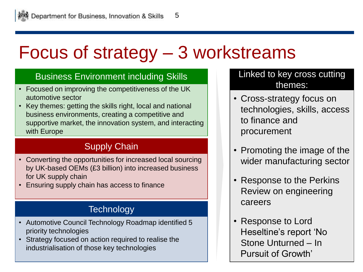# Focus of strategy – 3 workstreams

#### Business Environment including Skills

- Focused on improving the competitiveness of the UK automotive sector
- Key themes: getting the skills right, local and national business environments, creating a competitive and supportive market, the innovation system, and interacting with Europe

### Supply Chain

- Converting the opportunities for increased local sourcing by UK-based OEMs (£3 billion) into increased business for UK supply chain
- Ensuring supply chain has access to finance

#### **Technology**

- Automotive Council Technology Roadmap identified 5 priority technologies
- Strategy focused on action required to realise the industrialisation of those key technologies

#### Linked to key cross cutting themes:

- Cross-strategy focus on technologies, skills, access to finance and procurement
- Promoting the image of the wider manufacturing sector
- Response to the Perkins Review on engineering careers
- Response to Lord Heseltine's report 'No Stone Unturned – In Pursuit of Growth'